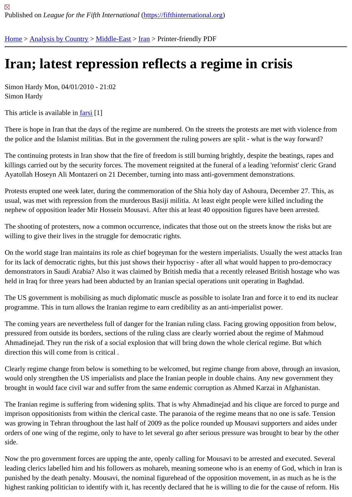## [Iran](https://fifthinternational.org/)[; latest rep](https://fifthinternational.org/category/1)[ressio](https://fifthinternational.org/category/1/178)[n re](https://fifthinternational.org/category/1/178/182)flects a regime in crisis

Simon Hardy Mon, 04/01/2010 - 21:02 Simon Hardy

This article is available ifarsi[1]

There is hope in Iran that the days of the regime are numbered. On the streets the protests are met with violence f the police and the Islam[ist m](http://www.fifthinternational.org/2010-iran-regime-in-crisis-farsi)ilitias. But in the government the ruling powers are split - what is the way forward?

The continuing protests in Iran show that the fire of freedom is still burning brightly, despite the beatings, rapes and killings carried out by the security forces. The movement reignited at the funeral of a leading 'reformist' cleric Grand Ayatollah Hoseyn Ali Montazeri on 21 December, turning into mass anti-government demonstrations.

Protests erupted one week later, during the commemoration of the Shia holy day of Ashoura, December 27. This, usual, was met with repression from the murderous Basiji militia. At least eight people were killed including the nephew of opposition leader Mir Hossein Mousavi. After this at least 40 opposition figures have been arrested.

The shooting of protesters, now a common occurrence, indicates that those out on the streets know the risks but a willing to give their lives in the struggle for democratic rights.

On the world stage Iran maintains its role as chief bogeyman for the western imperialists. Usually the west attacks for its lack of democratic rights, but this just shows their hypocrisy - after all what would happen to pro-democracy demonstrators in Saudi Arabia? Also it was claimed by British media that a recently released British hostage who w held in Iraq for three years had been abducted by an Iranian special operations unit operating in Baghdad.

The US government is mobilising as much diplomatic muscle as possible to isolate Iran and force it to end its nucle programme. This in turn allows the Iranian regime to earn credibility as an anti-imperialist power.

The coming years are nevertheless full of danger for the Iranian ruling class. Facing growing opposition from below, pressured from outside its borders, sections of the ruling class are clearly worried about the regime of Mahmoud Ahmadinejad. They run the risk of a social explosion that will bring down the whole clerical regime. But which direction this will come from is critical .

Clearly regime change from below is something to be welcomed, but regime change from above, through an invas would only strengthen the US imperialists and place the Iranian people in double chains. Any new government the brought in would face civil war and suffer from the same endemic corruption as Ahmed Karzai in Afghanistan.

The Iranian regime is suffering from widening splits. That is why Ahmadinejad and his clique are forced to purge a imprison oppositionists from within the clerical caste. The paranoia of the regime means that no one is safe. Tensi was growing in Tehran throughout the last half of 2009 as the police rounded up Mousavi supporters and aides un orders of one wing of the regime, only to have to let several go after serious pressure was brought to bear by the o side.

Now the pro government forces are upping the ante, openly calling for Mousavi to be arrested and executed. Seve leading clerics labelled him and his followers as mohareb, meaning someone who is an enemy of God, which in Ira punished by the death penalty. Mousavi, the nominal figurehead of the opposition movement, in as much as he is highest ranking politician to identify with it, has recently declared that he is willing to die for the cause of reform. Hi